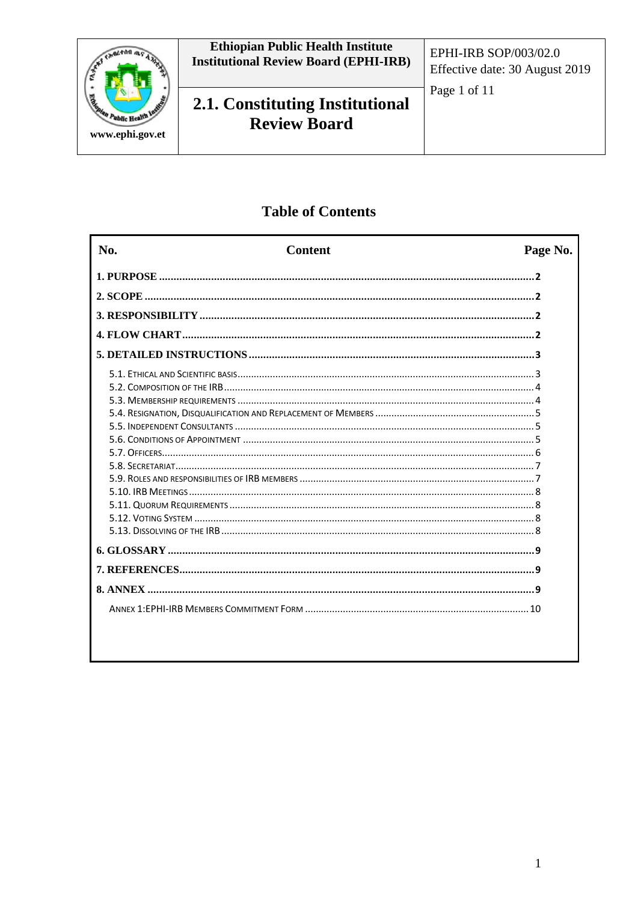

**Ethiopian Public Health Institute<br>Institutional Review Board (EPHI-IRB)** 

2.1. Constituting Institutional **Review Board** 

Page 1 of 11

## **Table of Contents**

| No.       | <b>Content</b> | Page No. |
|-----------|----------------|----------|
|           |                |          |
|           |                |          |
|           |                |          |
|           |                |          |
|           |                |          |
|           |                |          |
|           |                |          |
|           |                |          |
|           |                |          |
|           |                |          |
|           |                |          |
|           |                |          |
|           |                |          |
|           |                |          |
|           |                |          |
|           |                |          |
|           |                |          |
|           |                |          |
|           |                |          |
|           |                |          |
| 8. ANNEX. |                |          |
|           |                |          |
|           |                |          |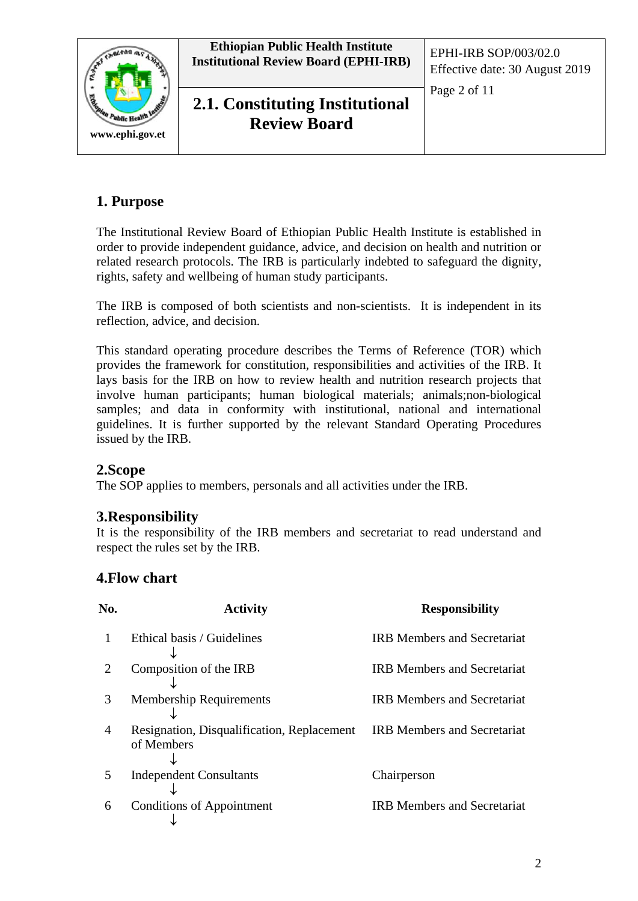

## **1. Purpose**

The Institutional Review Board of Ethiopian Public Health Institute is established in order to provide independent guidance, advice, and decision on health and nutrition or related research protocols. The IRB is particularly indebted to safeguard the dignity, rights, safety and wellbeing of human study participants.

The IRB is composed of both scientists and non-scientists. It is independent in its reflection, advice, and decision.

This standard operating procedure describes the Terms of Reference (TOR) which provides the framework for constitution, responsibilities and activities of the IRB. It lays basis for the IRB on how to review health and nutrition research projects that involve human participants; human biological materials; animals;non-biological samples; and data in conformity with institutional, national and international guidelines. It is further supported by the relevant Standard Operating Procedures issued by the IRB.

#### **2.Scope**

The SOP applies to members, personals and all activities under the IRB.

#### **3.Responsibility**

It is the responsibility of the IRB members and secretariat to read understand and respect the rules set by the IRB.

### **4.Flow chart**

| No.            | <b>Activity</b>                                          | <b>Responsibility</b>              |
|----------------|----------------------------------------------------------|------------------------------------|
|                | Ethical basis / Guidelines                               | <b>IRB Members and Secretariat</b> |
|                | Composition of the IRB                                   | <b>IRB Members and Secretariat</b> |
| 3              | <b>Membership Requirements</b>                           | <b>IRB Members and Secretariat</b> |
| $\overline{A}$ | Resignation, Disqualification, Replacement<br>of Members | <b>IRB</b> Members and Secretariat |
| 5              | <b>Independent Consultants</b>                           | Chairperson                        |
| 6              | <b>Conditions of Appointment</b>                         | <b>IRB Members and Secretariat</b> |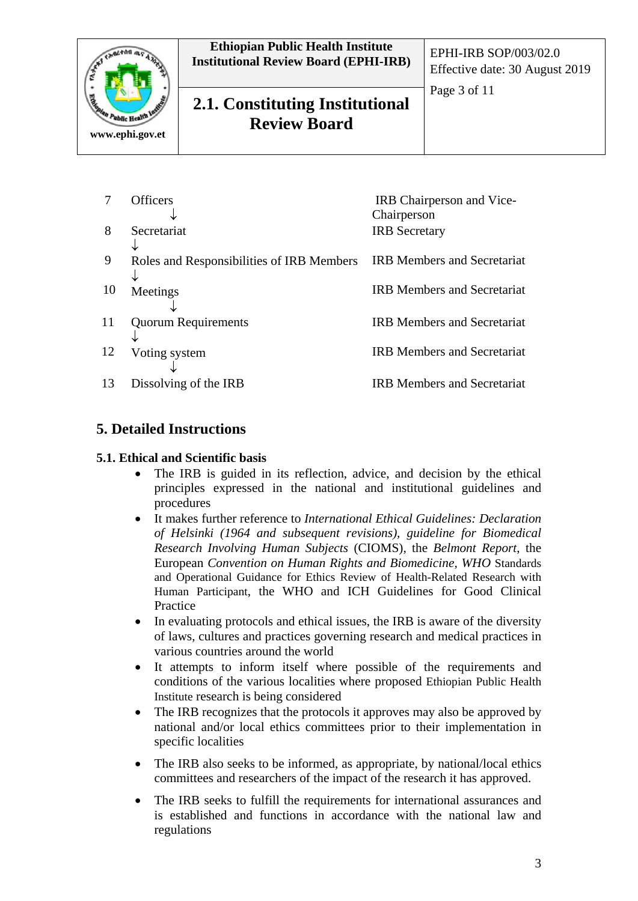

# **2.1. Constituting Institutional Review Board**

Effective date: 30 August 2019

Page 3 of 11

|    | Officers                                  | IRB Chairperson and Vice-          |
|----|-------------------------------------------|------------------------------------|
|    |                                           | Chairperson                        |
| 8  | Secretariat                               | <b>IRB</b> Secretary               |
|    |                                           |                                    |
| 9  | Roles and Responsibilities of IRB Members | <b>IRB Members and Secretariat</b> |
|    |                                           |                                    |
| 10 | Meetings                                  | <b>IRB Members and Secretariat</b> |
|    |                                           |                                    |
| 11 | <b>Quorum Requirements</b>                | <b>IRB</b> Members and Secretariat |
|    |                                           |                                    |
| 12 | Voting system                             | <b>IRB</b> Members and Secretariat |
|    |                                           |                                    |
| 13 | Dissolving of the IRB                     | <b>IRB Members and Secretariat</b> |
|    |                                           |                                    |

### **5. Detailed Instructions**

#### **5.1. Ethical and Scientific basis**

- The IRB is guided in its reflection, advice, and decision by the ethical principles expressed in the national and institutional guidelines and procedures
- It makes further reference to *International Ethical Guidelines: Declaration of Helsinki (1964 and subsequent revisions), guideline for Biomedical Research Involving Human Subjects* (CIOMS), the *Belmont Report*, the European *Convention on Human Rights and Biomedicine, WHO* Standards and Operational Guidance for Ethics Review of Health-Related Research with Human Participant, the WHO and ICH Guidelines for Good Clinical Practice
- In evaluating protocols and ethical issues, the IRB is aware of the diversity of laws, cultures and practices governing research and medical practices in various countries around the world
- It attempts to inform itself where possible of the requirements and conditions of the various localities where proposed Ethiopian Public Health Institute research is being considered
- The IRB recognizes that the protocols it approves may also be approved by national and/or local ethics committees prior to their implementation in specific localities
- The IRB also seeks to be informed, as appropriate, by national/local ethics committees and researchers of the impact of the research it has approved.
- The IRB seeks to fulfill the requirements for international assurances and is established and functions in accordance with the national law and regulations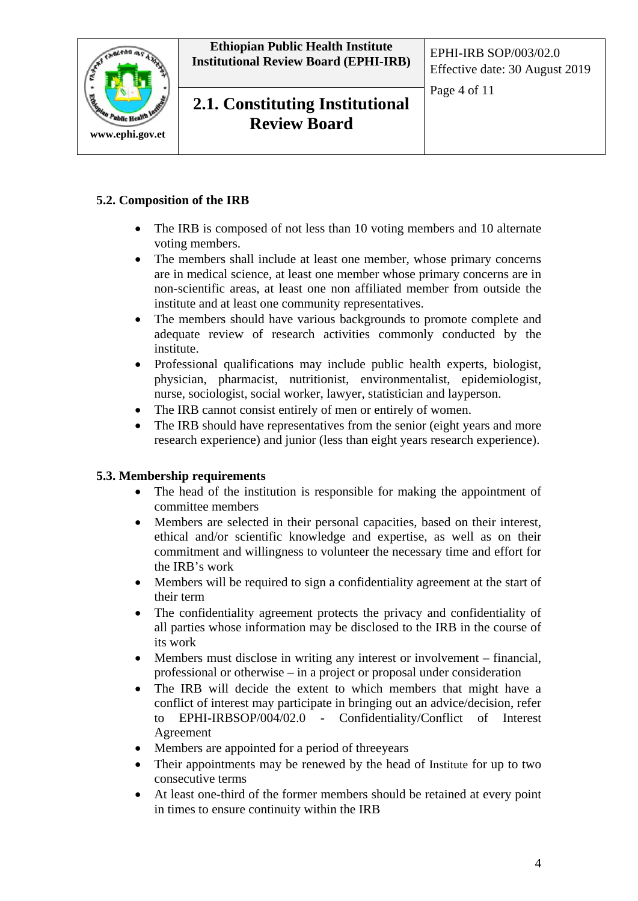

**2.1. Constituting Institutional Review Board**

Page 4 of 11

#### **5.2. Composition of the IRB**

- The IRB is composed of not less than 10 voting members and 10 alternate voting members.
- The members shall include at least one member, whose primary concerns are in medical science, at least one member whose primary concerns are in non-scientific areas, at least one non affiliated member from outside the institute and at least one community representatives.
- The members should have various backgrounds to promote complete and adequate review of research activities commonly conducted by the institute.
- Professional qualifications may include public health experts, biologist, physician, pharmacist, nutritionist, environmentalist, epidemiologist, nurse, sociologist, social worker, lawyer, statistician and layperson.
- The IRB cannot consist entirely of men or entirely of women.
- The IRB should have representatives from the senior (eight years and more research experience) and junior (less than eight years research experience).

#### **5.3. Membership requirements**

- The head of the institution is responsible for making the appointment of committee members
- Members are selected in their personal capacities, based on their interest, ethical and/or scientific knowledge and expertise, as well as on their commitment and willingness to volunteer the necessary time and effort for the IRB's work
- Members will be required to sign a confidentiality agreement at the start of their term
- The confidentiality agreement protects the privacy and confidentiality of all parties whose information may be disclosed to the IRB in the course of its work
- Members must disclose in writing any interest or involvement financial, professional or otherwise – in a project or proposal under consideration
- The IRB will decide the extent to which members that might have a conflict of interest may participate in bringing out an advice/decision, refer to EPHI-IRBSOP/004/02.0 - Confidentiality/Conflict of Interest Agreement
- Members are appointed for a period of three years
- Their appointments may be renewed by the head of Institute for up to two consecutive terms
- At least one-third of the former members should be retained at every point in times to ensure continuity within the IRB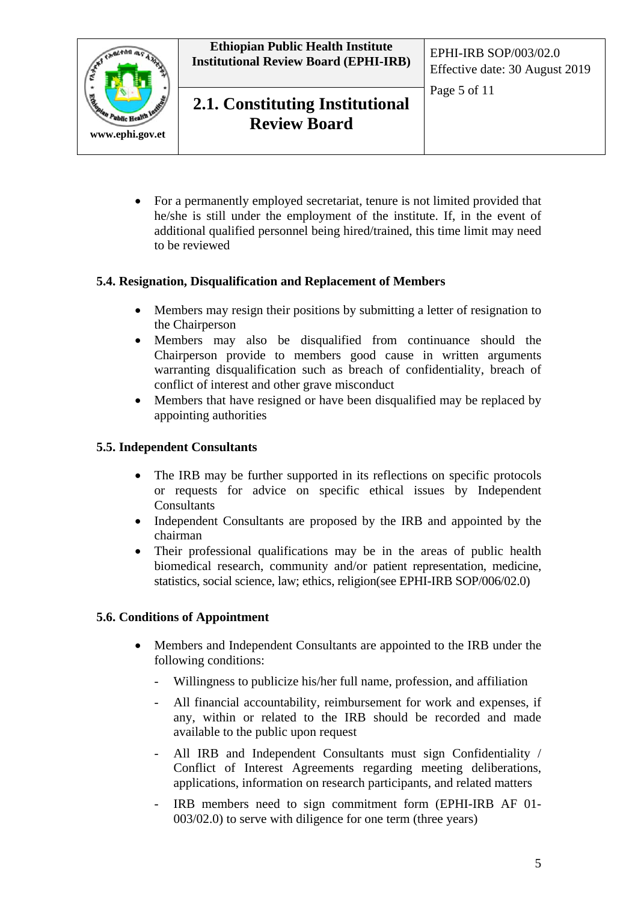



Page 5 of 11

• For a permanently employed secretariat, tenure is not limited provided that he/she is still under the employment of the institute. If, in the event of additional qualified personnel being hired/trained, this time limit may need to be reviewed

#### **5.4. Resignation, Disqualification and Replacement of Members**

- Members may resign their positions by submitting a letter of resignation to the Chairperson
- Members may also be disqualified from continuance should the Chairperson provide to members good cause in written arguments warranting disqualification such as breach of confidentiality, breach of conflict of interest and other grave misconduct
- Members that have resigned or have been disqualified may be replaced by appointing authorities

#### **5.5. Independent Consultants**

- The IRB may be further supported in its reflections on specific protocols or requests for advice on specific ethical issues by Independent **Consultants**
- Independent Consultants are proposed by the IRB and appointed by the chairman
- Their professional qualifications may be in the areas of public health biomedical research, community and/or patient representation, medicine, statistics, social science, law; ethics, religion(see EPHI-IRB SOP/006/02.0)

#### **5.6. Conditions of Appointment**

- Members and Independent Consultants are appointed to the IRB under the following conditions:
	- Willingness to publicize his/her full name, profession, and affiliation
	- All financial accountability, reimbursement for work and expenses, if any, within or related to the IRB should be recorded and made available to the public upon request
	- All IRB and Independent Consultants must sign Confidentiality / Conflict of Interest Agreements regarding meeting deliberations, applications, information on research participants, and related matters
	- IRB members need to sign commitment form (EPHI-IRB AF 01-003/02.0) to serve with diligence for one term (three years)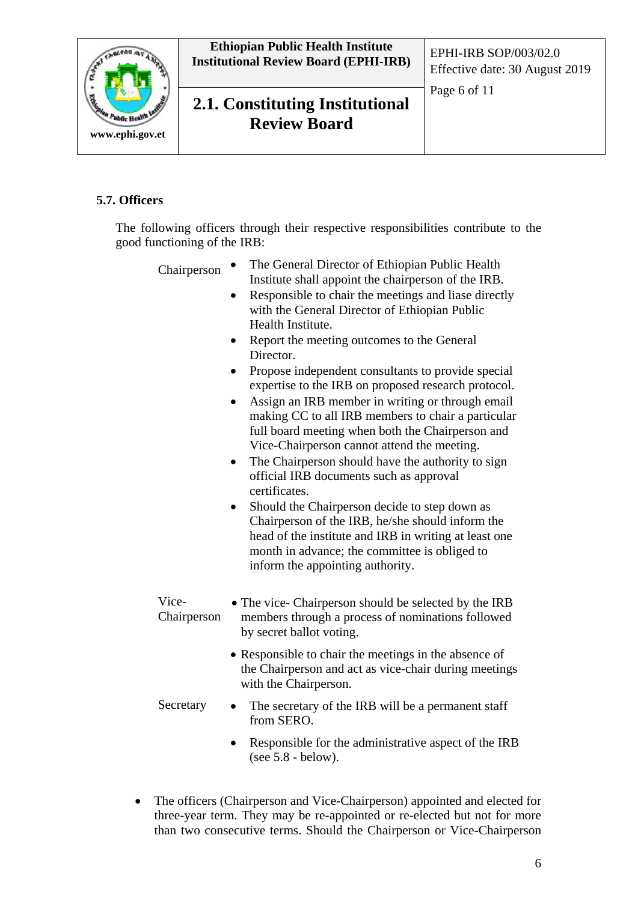

## **2.1. Constituting Institutional Review Board**

Page 6 of 11

#### **5.7. Officers**

The following officers through their respective responsibilities contribute to the good functioning of the IRB:

- Chairperson The General Director of Ethiopian Public Health Institute shall appoint the chairperson of the IRB.
	- Responsible to chair the meetings and liase directly with the General Director of Ethiopian Public Health Institute.
	- Report the meeting outcomes to the General Director.
	- Propose independent consultants to provide special expertise to the IRB on proposed research protocol.
	- Assign an IRB member in writing or through email making CC to all IRB members to chair a particular full board meeting when both the Chairperson and Vice-Chairperson cannot attend the meeting.
	- The Chairperson should have the authority to sign official IRB documents such as approval certificates.
	- Should the Chairperson decide to step down as Chairperson of the IRB, he/she should inform the head of the institute and IRB in writing at least one month in advance; the committee is obliged to inform the appointing authority.
- Vice-Chairperson • The vice- Chairperson should be selected by the IRB members through a process of nominations followed by secret ballot voting.
	- Responsible to chair the meetings in the absence of the Chairperson and act as vice-chair during meetings with the Chairperson.
- Secretary The secretary of the IRB will be a permanent staff from SERO.
	- Responsible for the administrative aspect of the IRB (see 5.8 - below).
- The officers (Chairperson and Vice-Chairperson) appointed and elected for three-year term. They may be re-appointed or re-elected but not for more than two consecutive terms. Should the Chairperson or Vice-Chairperson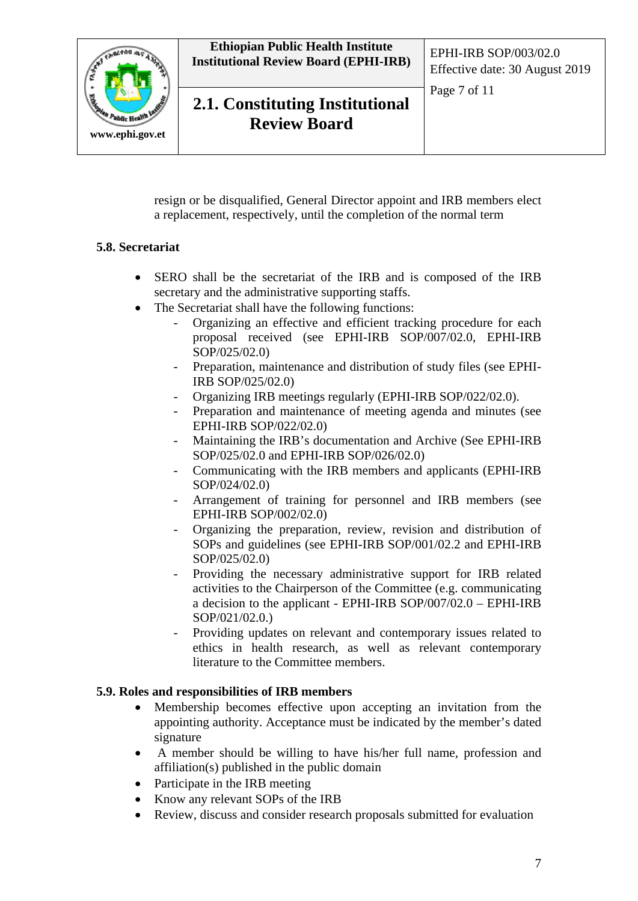

Effective date: 30 August 2019

Page 7 of 11



**2.1. Constituting Institutional Review Board**

resign or be disqualified, General Director appoint and IRB members elect a replacement, respectively, until the completion of the normal term

#### **5.8. Secretariat**

- SERO shall be the secretariat of the IRB and is composed of the IRB secretary and the administrative supporting staffs.
- The Secretariat shall have the following functions:
	- Organizing an effective and efficient tracking procedure for each proposal received (see EPHI-IRB SOP/007/02.0, EPHI-IRB SOP/025/02.0)
	- Preparation, maintenance and distribution of study files (see EPHI-IRB SOP/025/02.0)
	- Organizing IRB meetings regularly (EPHI-IRB SOP/022/02.0).
	- Preparation and maintenance of meeting agenda and minutes (see EPHI-IRB SOP/022/02.0)
	- Maintaining the IRB's documentation and Archive (See EPHI-IRB SOP/025/02.0 and EPHI-IRB SOP/026/02.0)
	- Communicating with the IRB members and applicants (EPHI-IRB SOP/024/02.0)
	- Arrangement of training for personnel and IRB members (see EPHI-IRB SOP/002/02.0)
	- Organizing the preparation, review, revision and distribution of SOPs and guidelines (see EPHI-IRB SOP/001/02.2 and EPHI-IRB SOP/025/02.0)
	- Providing the necessary administrative support for IRB related activities to the Chairperson of the Committee (e.g. communicating a decision to the applicant - EPHI-IRB SOP/007/02.0 – EPHI-IRB SOP/021/02.0.)
	- Providing updates on relevant and contemporary issues related to ethics in health research, as well as relevant contemporary literature to the Committee members.

#### **5.9. Roles and responsibilities of IRB members**

- Membership becomes effective upon accepting an invitation from the appointing authority. Acceptance must be indicated by the member's dated signature
- A member should be willing to have his/her full name, profession and affiliation(s) published in the public domain
- Participate in the IRB meeting
- Know any relevant SOPs of the IRB
- Review, discuss and consider research proposals submitted for evaluation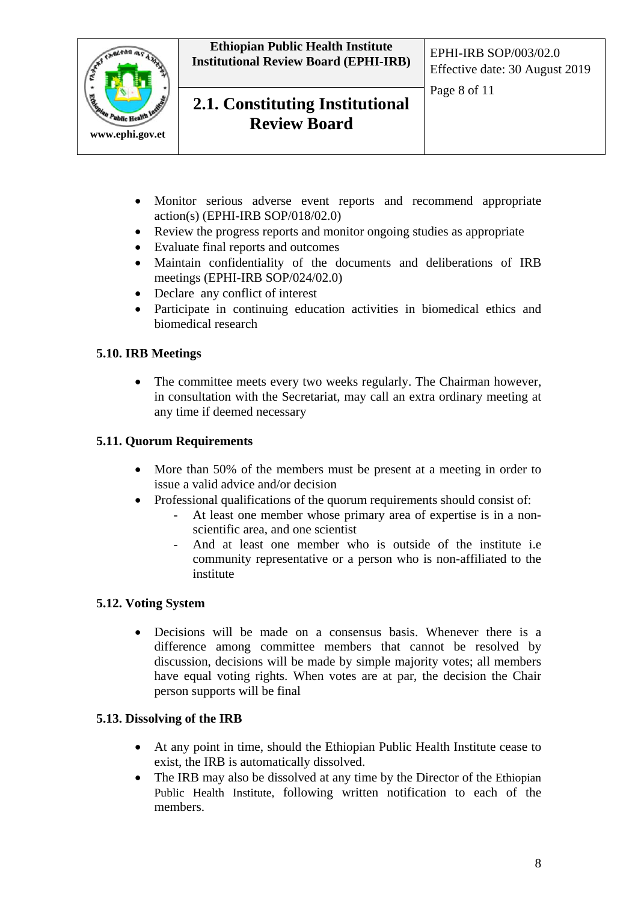

**2.1. Constituting Institutional Review Board**

Page 8 of 11

- Monitor serious adverse event reports and recommend appropriate action(s) (EPHI-IRB SOP/018/02.0)
- Review the progress reports and monitor ongoing studies as appropriate
- Evaluate final reports and outcomes
- Maintain confidentiality of the documents and deliberations of IRB meetings (EPHI-IRB SOP/024/02.0)
- Declare any conflict of interest
- Participate in continuing education activities in biomedical ethics and biomedical research

#### **5.10. IRB Meetings**

• The committee meets every two weeks regularly. The Chairman however, in consultation with the Secretariat, may call an extra ordinary meeting at any time if deemed necessary

#### **5.11. Quorum Requirements**

- More than 50% of the members must be present at a meeting in order to issue a valid advice and/or decision
- Professional qualifications of the quorum requirements should consist of:
	- At least one member whose primary area of expertise is in a nonscientific area, and one scientist
	- And at least one member who is outside of the institute i.e community representative or a person who is non-affiliated to the institute

#### **5.12. Voting System**

• Decisions will be made on a consensus basis. Whenever there is a difference among committee members that cannot be resolved by discussion, decisions will be made by simple majority votes; all members have equal voting rights. When votes are at par, the decision the Chair person supports will be final

#### **5.13. Dissolving of the IRB**

- At any point in time, should the Ethiopian Public Health Institute cease to exist, the IRB is automatically dissolved.
- The IRB may also be dissolved at any time by the Director of the Ethiopian Public Health Institute, following written notification to each of the members.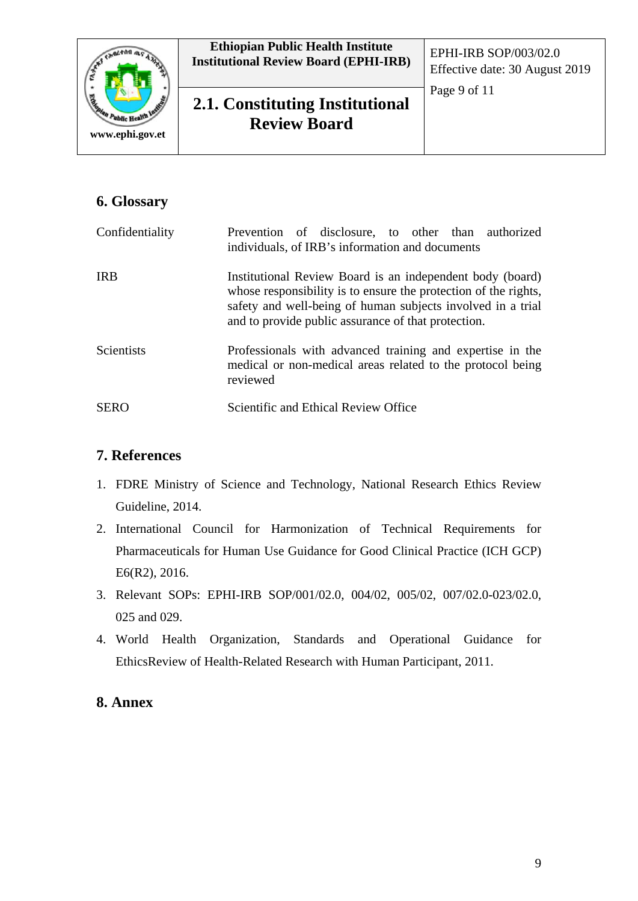

# **2.1. Constituting Institutional Review Board**

Page 9 of 11

## **6. Glossary**

| Confidentiality   | Prevention of disclosure, to other than authorized<br>individuals, of IRB's information and documents                                                                                                                                              |
|-------------------|----------------------------------------------------------------------------------------------------------------------------------------------------------------------------------------------------------------------------------------------------|
| <b>IRB</b>        | Institutional Review Board is an independent body (board)<br>whose responsibility is to ensure the protection of the rights,<br>safety and well-being of human subjects involved in a trial<br>and to provide public assurance of that protection. |
| <b>Scientists</b> | Professionals with advanced training and expertise in the<br>medical or non-medical areas related to the protocol being<br>reviewed                                                                                                                |
| <b>SERO</b>       | Scientific and Ethical Review Office                                                                                                                                                                                                               |

### **7. References**

- 1. FDRE Ministry of Science and Technology, National Research Ethics Review Guideline, 2014.
- 2. International Council for Harmonization of Technical Requirements for Pharmaceuticals for Human Use Guidance for Good Clinical Practice (ICH GCP) E6(R2), 2016.
- 3. Relevant SOPs: EPHI-IRB SOP/001/02.0, 004/02, 005/02, 007/02.0-023/02.0, 025 and 029.
- 4. World Health Organization, Standards and Operational Guidance for EthicsReview of Health-Related Research with Human Participant, 2011.

### **8. Annex**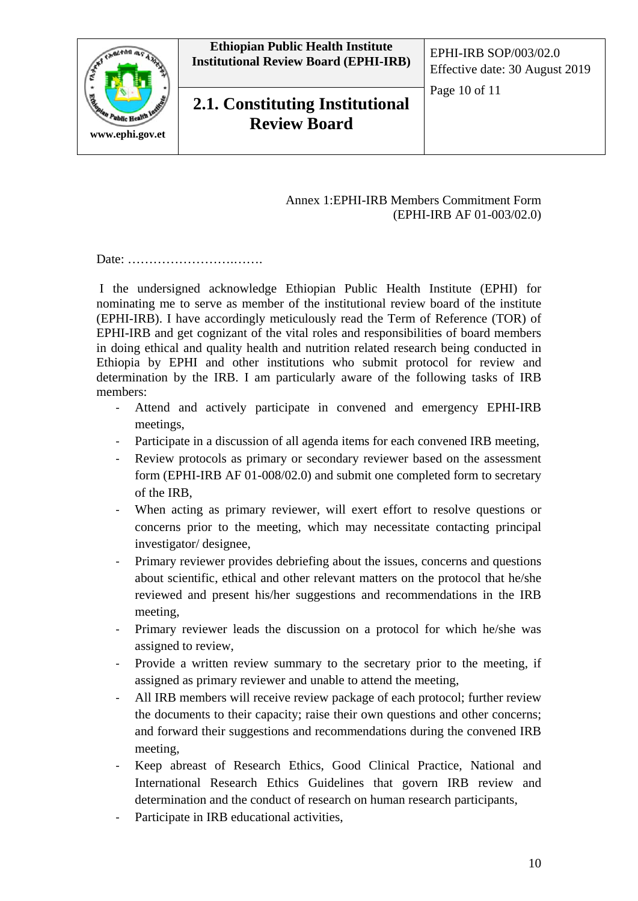

**2.1. Constituting Institutional Review Board**

Effective date: 30 August 2019

Page 10 of 11

#### Annex 1:EPHI-IRB Members Commitment Form (EPHI-IRB AF 01-003/02.0)

Date: …………………….…….

I the undersigned acknowledge Ethiopian Public Health Institute (EPHI) for nominating me to serve as member of the institutional review board of the institute (EPHI-IRB). I have accordingly meticulously read the Term of Reference (TOR) of EPHI-IRB and get cognizant of the vital roles and responsibilities of board members in doing ethical and quality health and nutrition related research being conducted in Ethiopia by EPHI and other institutions who submit protocol for review and determination by the IRB. I am particularly aware of the following tasks of IRB members:

- Attend and actively participate in convened and emergency EPHI-IRB meetings,
- Participate in a discussion of all agenda items for each convened IRB meeting,
- Review protocols as primary or secondary reviewer based on the assessment form (EPHI-IRB AF 01-008/02.0) and submit one completed form to secretary of the IRB,
- When acting as primary reviewer, will exert effort to resolve questions or concerns prior to the meeting, which may necessitate contacting principal investigator/ designee,
- Primary reviewer provides debriefing about the issues, concerns and questions about scientific, ethical and other relevant matters on the protocol that he/she reviewed and present his/her suggestions and recommendations in the IRB meeting,
- Primary reviewer leads the discussion on a protocol for which he/she was assigned to review,
- Provide a written review summary to the secretary prior to the meeting, if assigned as primary reviewer and unable to attend the meeting,
- All IRB members will receive review package of each protocol; further review the documents to their capacity; raise their own questions and other concerns; and forward their suggestions and recommendations during the convened IRB meeting,
- Keep abreast of Research Ethics, Good Clinical Practice, National and International Research Ethics Guidelines that govern IRB review and determination and the conduct of research on human research participants,
- Participate in IRB educational activities,